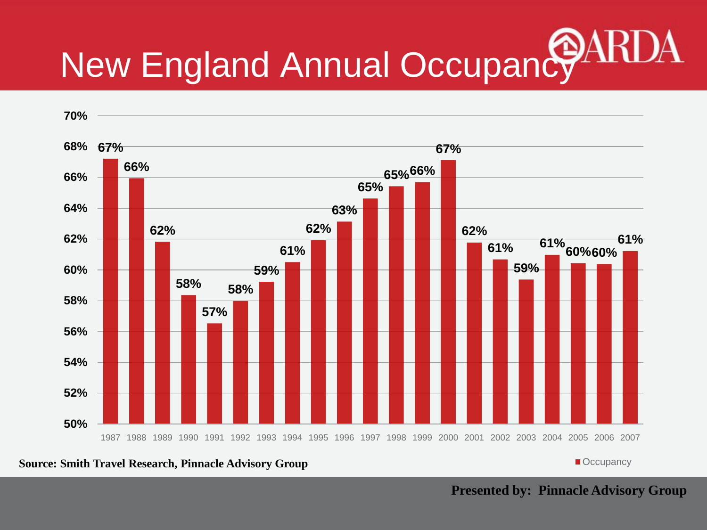# New England Annual Occupancy



**Source: Smith Travel Research, Pinnacle Advisory Group <b>Community Community Community Community** Compancy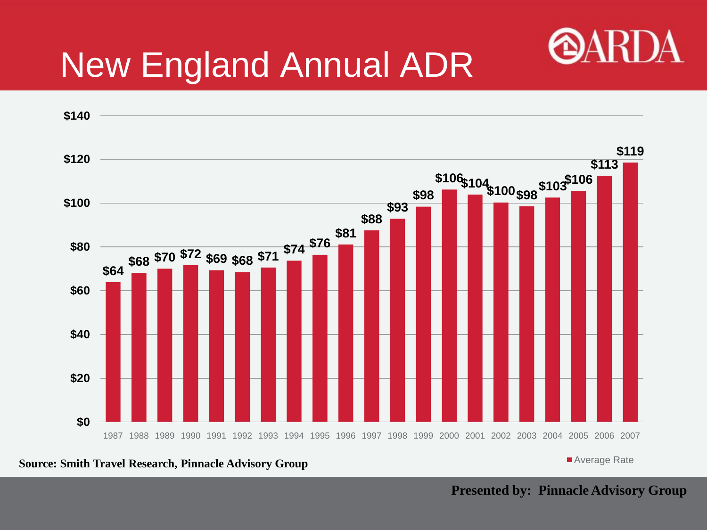

## New England Annual ADR



**Source: Smith Travel Research, Pinnacle Advisory Group**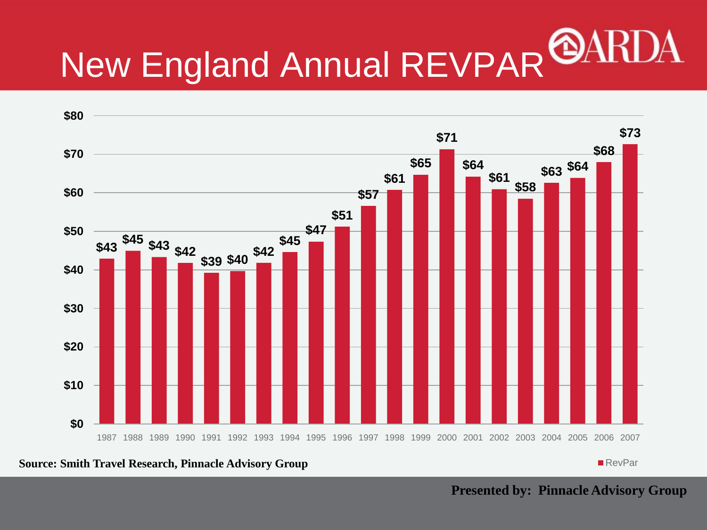## New England Annual REVPAR



**Source: Smith Travel Research, Pinnacle Advisory Group** 

RevPar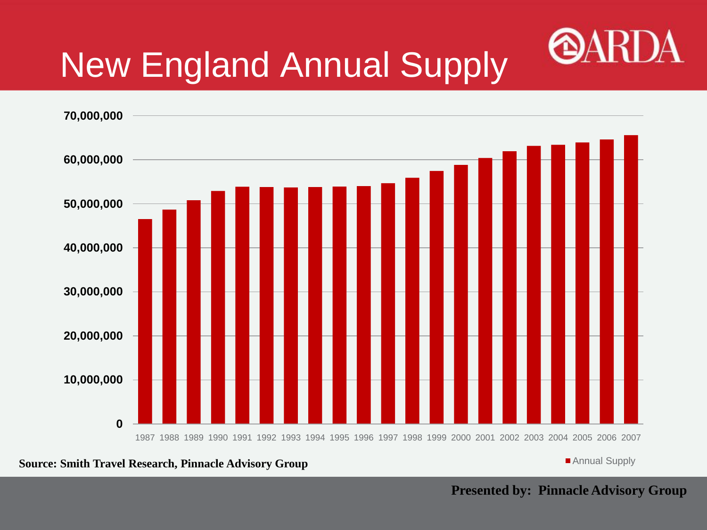

## New England Annual Supply



**Source: Smith Travel Research, Pinnacle Advisory Group** 

Annual Supply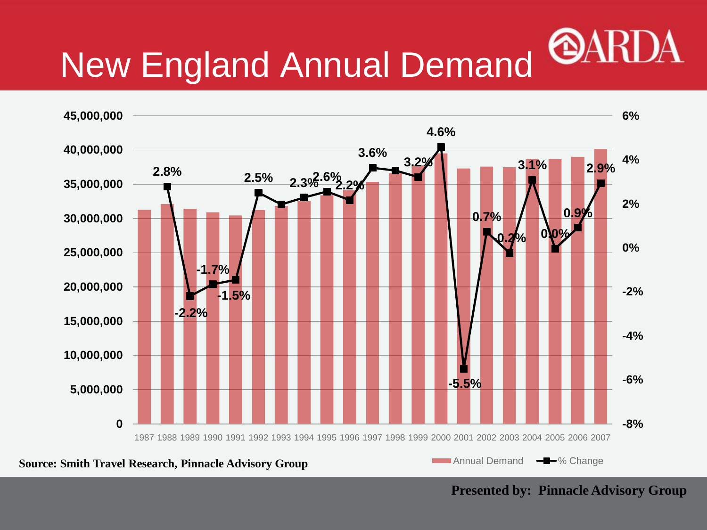#### **OAI** New England Annual Demand

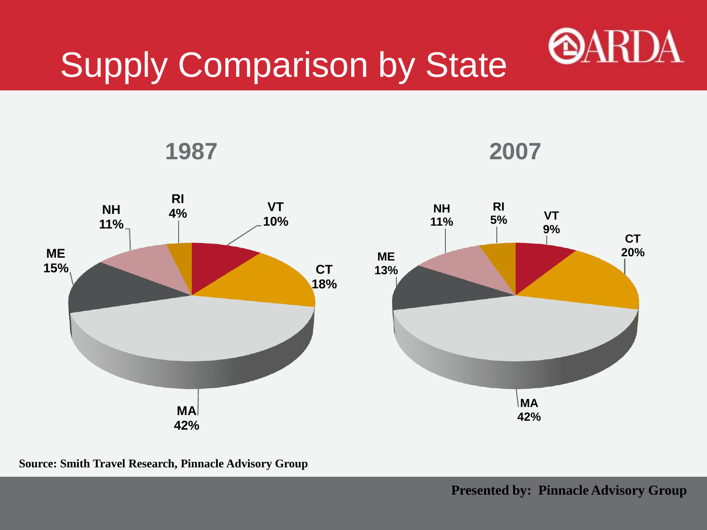



**Source: Smith Travel Research, Pinnacle Advisory Group**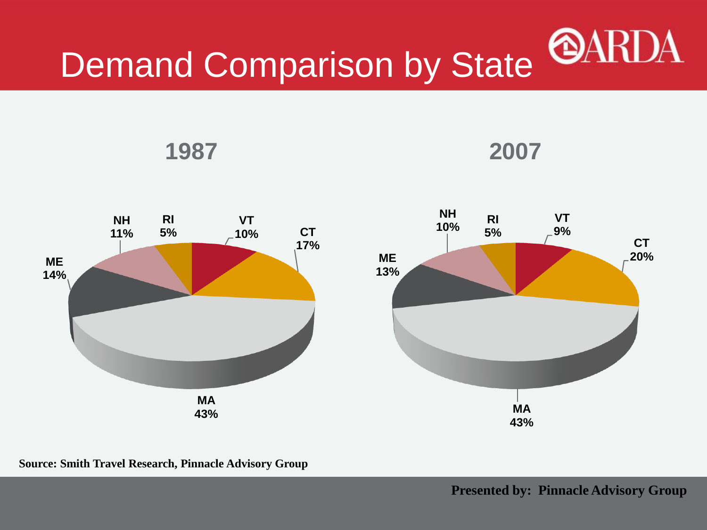# Demand Comparison by State @ARDA



**1987 2007**

**Source: Smith Travel Research, Pinnacle Advisory Group**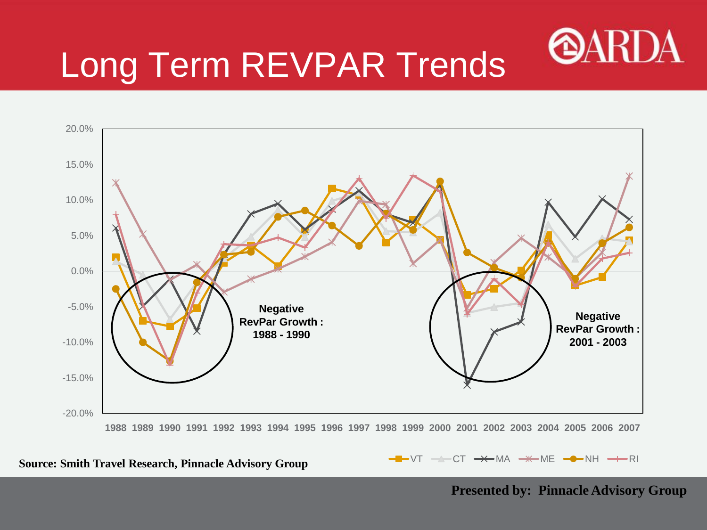

## Long Term REVPAR Trends



**Source: Smith Travel Research, Pinnacle Advisory Group**